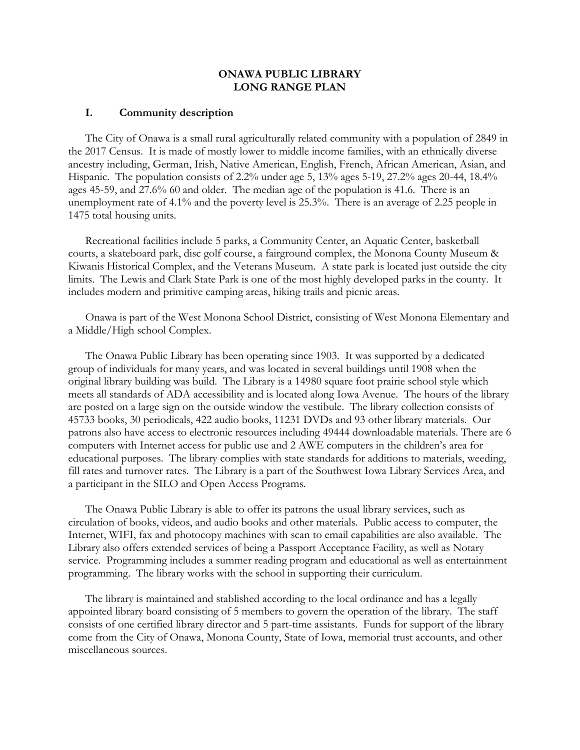## **ONAWA PUBLIC LIBRARY LONG RANGE PLAN**

#### **I. Community description**

The City of Onawa is a small rural agriculturally related community with a population of 2849 in the 2017 Census. It is made of mostly lower to middle income families, with an ethnically diverse ancestry including, German, Irish, Native American, English, French, African American, Asian, and Hispanic. The population consists of 2.2% under age 5, 13% ages 5-19, 27.2% ages 20-44, 18.4% ages 45-59, and 27.6% 60 and older. The median age of the population is 41.6. There is an unemployment rate of 4.1% and the poverty level is 25.3%. There is an average of 2.25 people in 1475 total housing units.

Recreational facilities include 5 parks, a Community Center, an Aquatic Center, basketball courts, a skateboard park, disc golf course, a fairground complex, the Monona County Museum & Kiwanis Historical Complex, and the Veterans Museum. A state park is located just outside the city limits. The Lewis and Clark State Park is one of the most highly developed parks in the county. It includes modern and primitive camping areas, hiking trails and picnic areas.

Onawa is part of the West Monona School District, consisting of West Monona Elementary and a Middle/High school Complex.

The Onawa Public Library has been operating since 1903. It was supported by a dedicated group of individuals for many years, and was located in several buildings until 1908 when the original library building was build. The Library is a 14980 square foot prairie school style which meets all standards of ADA accessibility and is located along Iowa Avenue. The hours of the library are posted on a large sign on the outside window the vestibule. The library collection consists of 45733 books, 30 periodicals, 422 audio books, 11231 DVDs and 93 other library materials. Our patrons also have access to electronic resources including 49444 downloadable materials. There are 6 computers with Internet access for public use and 2 AWE computers in the children's area for educational purposes. The library complies with state standards for additions to materials, weeding, fill rates and turnover rates. The Library is a part of the Southwest Iowa Library Services Area, and a participant in the SILO and Open Access Programs.

The Onawa Public Library is able to offer its patrons the usual library services, such as circulation of books, videos, and audio books and other materials. Public access to computer, the Internet, WIFI, fax and photocopy machines with scan to email capabilities are also available. The Library also offers extended services of being a Passport Acceptance Facility, as well as Notary service. Programming includes a summer reading program and educational as well as entertainment programming. The library works with the school in supporting their curriculum.

The library is maintained and stablished according to the local ordinance and has a legally appointed library board consisting of 5 members to govern the operation of the library. The staff consists of one certified library director and 5 part-time assistants. Funds for support of the library come from the City of Onawa, Monona County, State of Iowa, memorial trust accounts, and other miscellaneous sources.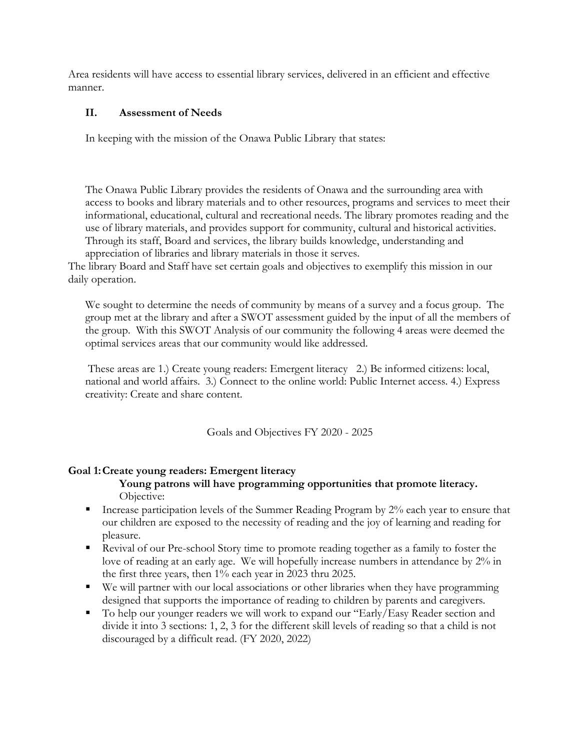Area residents will have access to essential library services, delivered in an efficient and effective manner.

### **II. Assessment of Needs**

In keeping with the mission of the Onawa Public Library that states:

The Onawa Public Library provides the residents of Onawa and the surrounding area with access to books and library materials and to other resources, programs and services to meet their informational, educational, cultural and recreational needs. The library promotes reading and the use of library materials, and provides support for community, cultural and historical activities. Through its staff, Board and services, the library builds knowledge, understanding and

appreciation of libraries and library materials in those it serves.

The library Board and Staff have set certain goals and objectives to exemplify this mission in our daily operation.

We sought to determine the needs of community by means of a survey and a focus group. The group met at the library and after a SWOT assessment guided by the input of all the members of the group. With this SWOT Analysis of our community the following 4 areas were deemed the optimal services areas that our community would like addressed.

These areas are 1.) Create young readers: Emergent literacy 2.) Be informed citizens: local, national and world affairs. 3.) Connect to the online world: Public Internet access. 4.) Express creativity: Create and share content.

Goals and Objectives FY 2020 - 2025

# **Goal 1:Create young readers: Emergent literacy**

#### **Young patrons will have programming opportunities that promote literacy.**  Objective:

- Increase participation levels of the Summer Reading Program by  $2\%$  each year to ensure that our children are exposed to the necessity of reading and the joy of learning and reading for pleasure.
- Revival of our Pre-school Story time to promote reading together as a family to foster the love of reading at an early age. We will hopefully increase numbers in attendance by 2% in the first three years, then 1% each year in 2023 thru 2025.
- We will partner with our local associations or other libraries when they have programming designed that supports the importance of reading to children by parents and caregivers.
- To help our younger readers we will work to expand our "Early/Easy Reader section and divide it into 3 sections: 1, 2, 3 for the different skill levels of reading so that a child is not discouraged by a difficult read. (FY 2020, 2022)